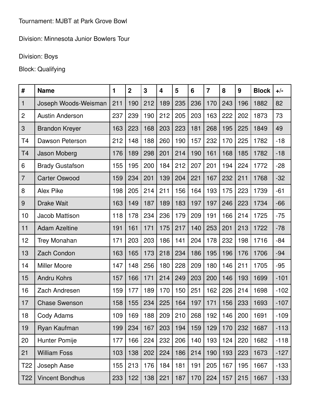Division: Minnesota Junior Bowlers Tour

## Division: Boys

## Block: Qualifying

| #               | <b>Name</b>            | 1   | $\overline{2}$ | 3   | 4   | 5   | $6\phantom{1}6$ | $\overline{7}$ | 8   | 9   | <b>Block</b> | $+/-$  |
|-----------------|------------------------|-----|----------------|-----|-----|-----|-----------------|----------------|-----|-----|--------------|--------|
| 1               | Joseph Woods-Weisman   | 211 | 190            | 212 | 189 | 235 | 236             | 170            | 243 | 196 | 1882         | 82     |
| $\overline{c}$  | <b>Austin Anderson</b> | 237 | 239            | 190 | 212 | 205 | 203             | 163            | 222 | 202 | 1873         | 73     |
| 3               | <b>Brandon Kreyer</b>  | 163 | 223            | 168 | 203 | 223 | 181             | 268            | 195 | 225 | 1849         | 49     |
| T <sub>4</sub>  | Dawson Peterson        | 212 | 148            | 188 | 260 | 190 | 157             | 232            | 170 | 225 | 1782         | $-18$  |
| <b>T4</b>       | Jason Moberg           | 176 | 189            | 298 | 201 | 214 | 190             | 161            | 168 | 185 | 1782         | $-18$  |
| 6               | <b>Brady Gustafson</b> | 155 | 195            | 200 | 184 | 212 | 207             | 201            | 194 | 224 | 1772         | $-28$  |
| $\overline{7}$  | <b>Carter Oswood</b>   | 159 | 234            | 201 | 139 | 204 | 221             | 167            | 232 | 211 | 1768         | $-32$  |
| 8               | <b>Alex Pike</b>       | 198 | 205            | 214 | 211 | 156 | 164             | 193            | 175 | 223 | 1739         | $-61$  |
| 9               | <b>Drake Wait</b>      | 163 | 149            | 187 | 189 | 183 | 197             | 197            | 246 | 223 | 1734         | $-66$  |
| 10              | Jacob Mattison         | 118 | 178            | 234 | 236 | 179 | 209             | 191            | 166 | 214 | 1725         | $-75$  |
| 11              | <b>Adam Azeltine</b>   | 191 | 161            | 171 | 175 | 217 | 140             | 253            | 201 | 213 | 1722         | $-78$  |
| 12              | <b>Trey Monahan</b>    | 171 | 203            | 203 | 186 | 141 | 204             | 178            | 232 | 198 | 1716         | $-84$  |
| 13              | Zach Condon            | 163 | 165            | 173 | 218 | 234 | 186             | 195            | 196 | 176 | 1706         | $-94$  |
| 14              | <b>Miller Moore</b>    | 147 | 148            | 256 | 180 | 228 | 209             | 180            | 146 | 211 | 1705         | $-95$  |
| 15              | <b>Andru Kohrs</b>     | 157 | 166            | 171 | 214 | 249 | 203             | 200            | 146 | 193 | 1699         | $-101$ |
| 16              | Zach Andresen          | 159 | 177            | 189 | 170 | 150 | 251             | 162            | 226 | 214 | 1698         | $-102$ |
| 17              | <b>Chase Swenson</b>   | 158 | 155            | 234 | 225 | 164 | 197             | 171            | 156 | 233 | 1693         | $-107$ |
| 18              | Cody Adams             | 109 | 169            | 188 | 209 | 210 | 268             | 192            | 146 | 200 | 1691         | $-109$ |
| 19              | Ryan Kaufman           | 199 | 234            | 167 | 203 | 194 | 159             | 129            | 170 | 232 | 1687         | $-113$ |
| 20              | Hunter Pomije          | 177 | 166            | 224 | 232 | 206 | 140             | 193            | 124 | 220 | 1682         | $-118$ |
| 21              | <b>William Foss</b>    | 103 | 138            | 202 | 224 | 186 | 214             | 190            | 193 | 223 | 1673         | $-127$ |
| T <sub>22</sub> | Joseph Aase            | 155 | 213            | 176 | 184 | 181 | 191             | 205            | 167 | 195 | 1667         | $-133$ |
| T22             | <b>Vincent Bondhus</b> | 233 | 122            | 138 | 221 | 187 | 170             | 224            | 157 | 215 | 1667         | $-133$ |